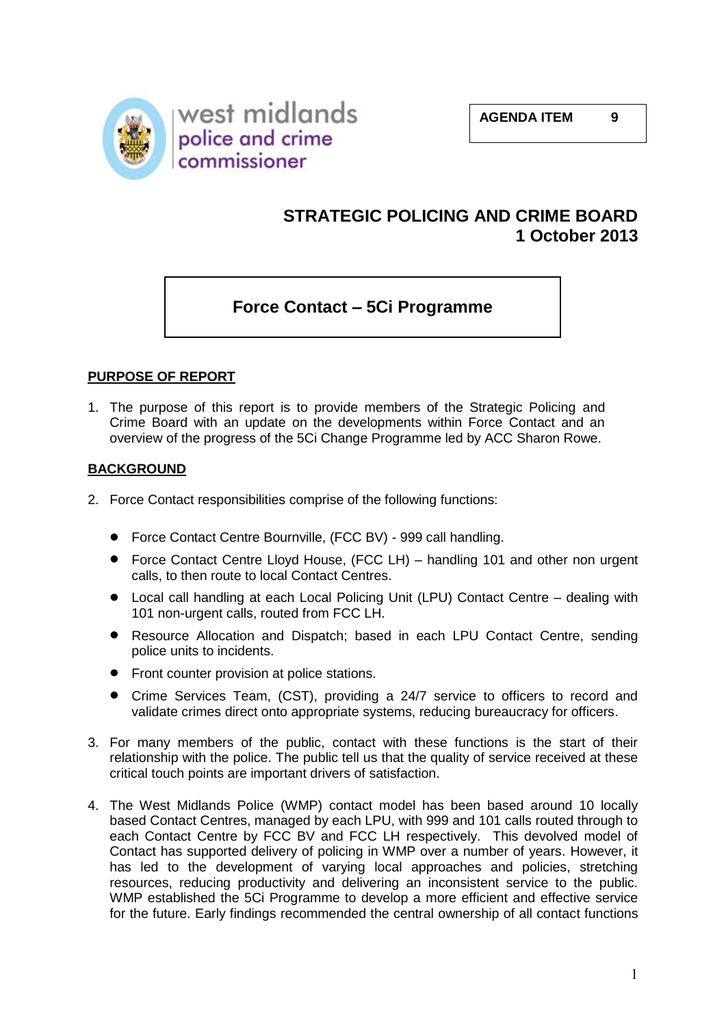

# **STRATEGIC POLICING AND CRIME BOARD 1 October 2013**

# **Force Contact – 5Ci Programme**

# **PURPOSE OF REPORT**

1. The purpose of this report is to provide members of the Strategic Policing and Crime Board with an update on the developments within Force Contact and an overview of the progress of the 5Ci Change Programme led by ACC Sharon Rowe.

## **BACKGROUND**

- 2. Force Contact responsibilities comprise of the following functions:
	- Force Contact Centre Bournville, (FCC BV) 999 call handling.
	- Force Contact Centre Lloyd House, (FCC LH) handling 101 and other non urgent calls, to then route to local Contact Centres.
	- Local call handling at each Local Policing Unit (LPU) Contact Centre dealing with 101 non-urgent calls, routed from FCC LH.
	- Resource Allocation and Dispatch; based in each LPU Contact Centre, sending  $\bullet$ police units to incidents.
	- Front counter provision at police stations.
	- Crime Services Team, (CST), providing a 24/7 service to officers to record and validate crimes direct onto appropriate systems, reducing bureaucracy for officers.
- 3. For many members of the public, contact with these functions is the start of their relationship with the police. The public tell us that the quality of service received at these critical touch points are important drivers of satisfaction.
- 4. The West Midlands Police (WMP) contact model has been based around 10 locally based Contact Centres, managed by each LPU, with 999 and 101 calls routed through to each Contact Centre by FCC BV and FCC LH respectively. This devolved model of Contact has supported delivery of policing in WMP over a number of years. However, it has led to the development of varying local approaches and policies, stretching resources, reducing productivity and delivering an inconsistent service to the public. WMP established the 5Ci Programme to develop a more efficient and effective service for the future. Early findings recommended the central ownership of all contact functions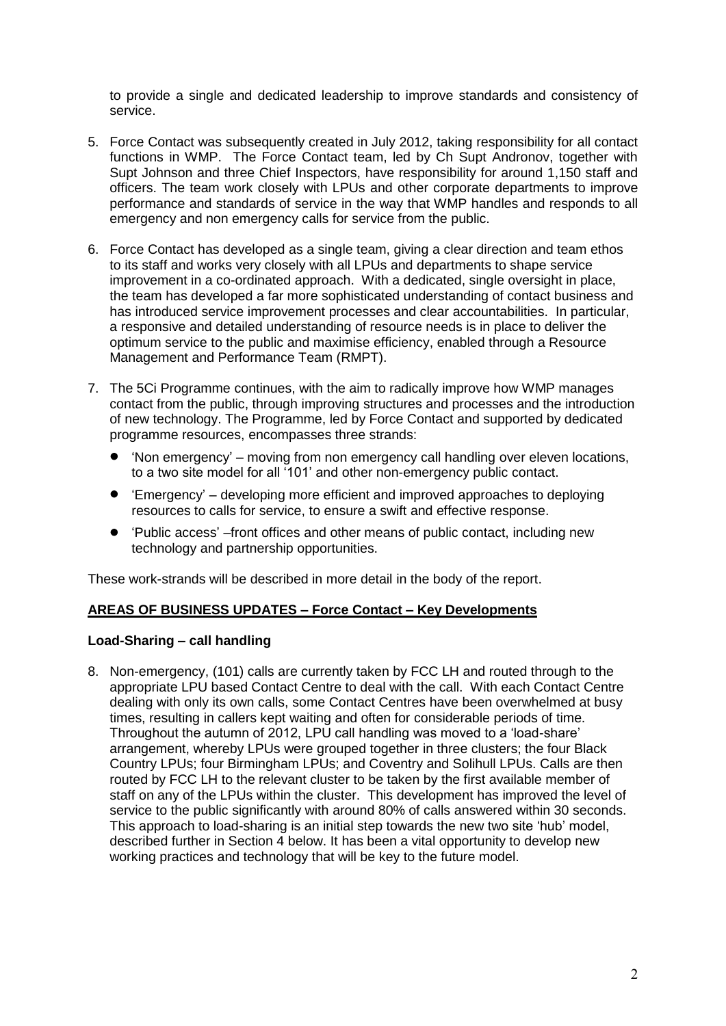to provide a single and dedicated leadership to improve standards and consistency of service.

- 5. Force Contact was subsequently created in July 2012, taking responsibility for all contact functions in WMP. The Force Contact team, led by Ch Supt Andronov, together with Supt Johnson and three Chief Inspectors, have responsibility for around 1,150 staff and officers. The team work closely with LPUs and other corporate departments to improve performance and standards of service in the way that WMP handles and responds to all emergency and non emergency calls for service from the public.
- 6. Force Contact has developed as a single team, giving a clear direction and team ethos to its staff and works very closely with all LPUs and departments to shape service improvement in a co-ordinated approach. With a dedicated, single oversight in place, the team has developed a far more sophisticated understanding of contact business and has introduced service improvement processes and clear accountabilities. In particular, a responsive and detailed understanding of resource needs is in place to deliver the optimum service to the public and maximise efficiency, enabled through a Resource Management and Performance Team (RMPT).
- 7. The 5Ci Programme continues, with the aim to radically improve how WMP manages contact from the public, through improving structures and processes and the introduction of new technology. The Programme, led by Force Contact and supported by dedicated programme resources, encompasses three strands:
	- 'Non emergency' moving from non emergency call handling over eleven locations,  $\bullet$ to a two site model for all '101' and other non-emergency public contact.
	- 'Emergency' developing more efficient and improved approaches to deploying  $\bullet$ resources to calls for service, to ensure a swift and effective response.
	- $\bullet$ 'Public access' –front offices and other means of public contact, including new technology and partnership opportunities.

These work-strands will be described in more detail in the body of the report.

## **AREAS OF BUSINESS UPDATES – Force Contact – Key Developments**

## **Load-Sharing – call handling**

8. Non-emergency, (101) calls are currently taken by FCC LH and routed through to the appropriate LPU based Contact Centre to deal with the call. With each Contact Centre dealing with only its own calls, some Contact Centres have been overwhelmed at busy times, resulting in callers kept waiting and often for considerable periods of time. Throughout the autumn of 2012, LPU call handling was moved to a 'load-share' arrangement, whereby LPUs were grouped together in three clusters; the four Black Country LPUs; four Birmingham LPUs; and Coventry and Solihull LPUs. Calls are then routed by FCC LH to the relevant cluster to be taken by the first available member of staff on any of the LPUs within the cluster. This development has improved the level of service to the public significantly with around 80% of calls answered within 30 seconds. This approach to load-sharing is an initial step towards the new two site 'hub' model, described further in Section 4 below. It has been a vital opportunity to develop new working practices and technology that will be key to the future model.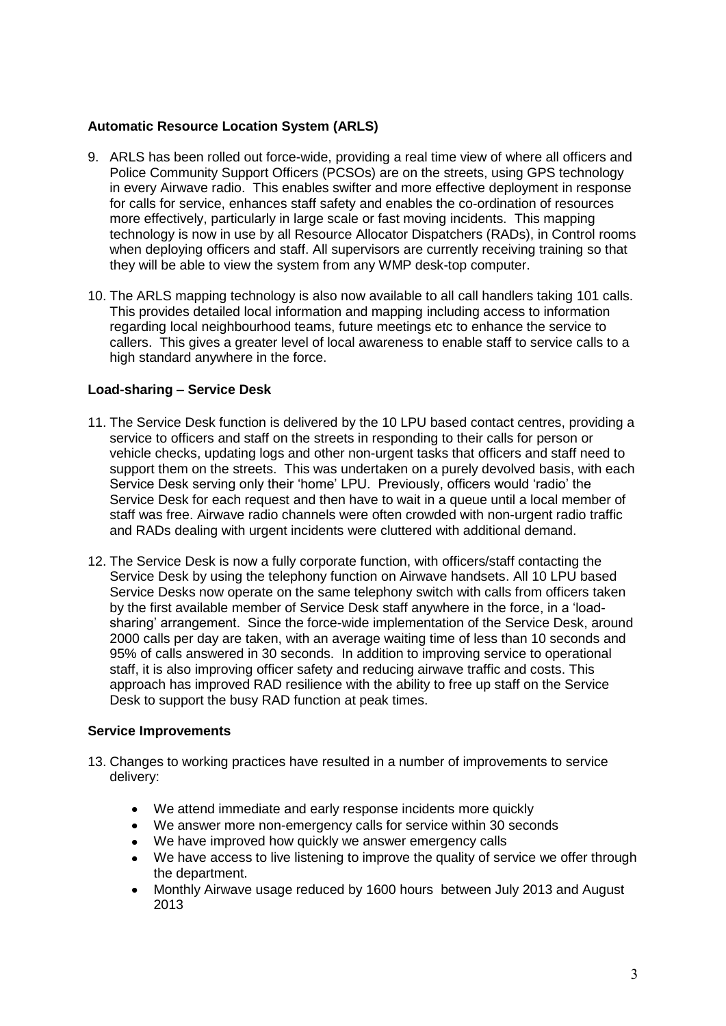# **Automatic Resource Location System (ARLS)**

- 9. ARLS has been rolled out force-wide, providing a real time view of where all officers and Police Community Support Officers (PCSOs) are on the streets, using GPS technology in every Airwave radio. This enables swifter and more effective deployment in response for calls for service, enhances staff safety and enables the co-ordination of resources more effectively, particularly in large scale or fast moving incidents. This mapping technology is now in use by all Resource Allocator Dispatchers (RADs), in Control rooms when deploying officers and staff. All supervisors are currently receiving training so that they will be able to view the system from any WMP desk-top computer.
- 10. The ARLS mapping technology is also now available to all call handlers taking 101 calls. This provides detailed local information and mapping including access to information regarding local neighbourhood teams, future meetings etc to enhance the service to callers. This gives a greater level of local awareness to enable staff to service calls to a high standard anywhere in the force.

## **Load-sharing – Service Desk**

- 11. The Service Desk function is delivered by the 10 LPU based contact centres, providing a service to officers and staff on the streets in responding to their calls for person or vehicle checks, updating logs and other non-urgent tasks that officers and staff need to support them on the streets. This was undertaken on a purely devolved basis, with each Service Desk serving only their 'home' LPU. Previously, officers would 'radio' the Service Desk for each request and then have to wait in a queue until a local member of staff was free. Airwave radio channels were often crowded with non-urgent radio traffic and RADs dealing with urgent incidents were cluttered with additional demand.
- 12. The Service Desk is now a fully corporate function, with officers/staff contacting the Service Desk by using the telephony function on Airwave handsets. All 10 LPU based Service Desks now operate on the same telephony switch with calls from officers taken by the first available member of Service Desk staff anywhere in the force, in a 'loadsharing' arrangement. Since the force-wide implementation of the Service Desk, around 2000 calls per day are taken, with an average waiting time of less than 10 seconds and 95% of calls answered in 30 seconds. In addition to improving service to operational staff, it is also improving officer safety and reducing airwave traffic and costs. This approach has improved RAD resilience with the ability to free up staff on the Service Desk to support the busy RAD function at peak times.

## **Service Improvements**

- 13. Changes to working practices have resulted in a number of improvements to service delivery:
	- We attend immediate and early response incidents more quickly
	- We answer more non-emergency calls for service within 30 seconds
	- We have improved how quickly we answer emergency calls
	- We have access to live listening to improve the quality of service we offer through the department.
	- Monthly Airwave usage reduced by 1600 hours between July 2013 and August 2013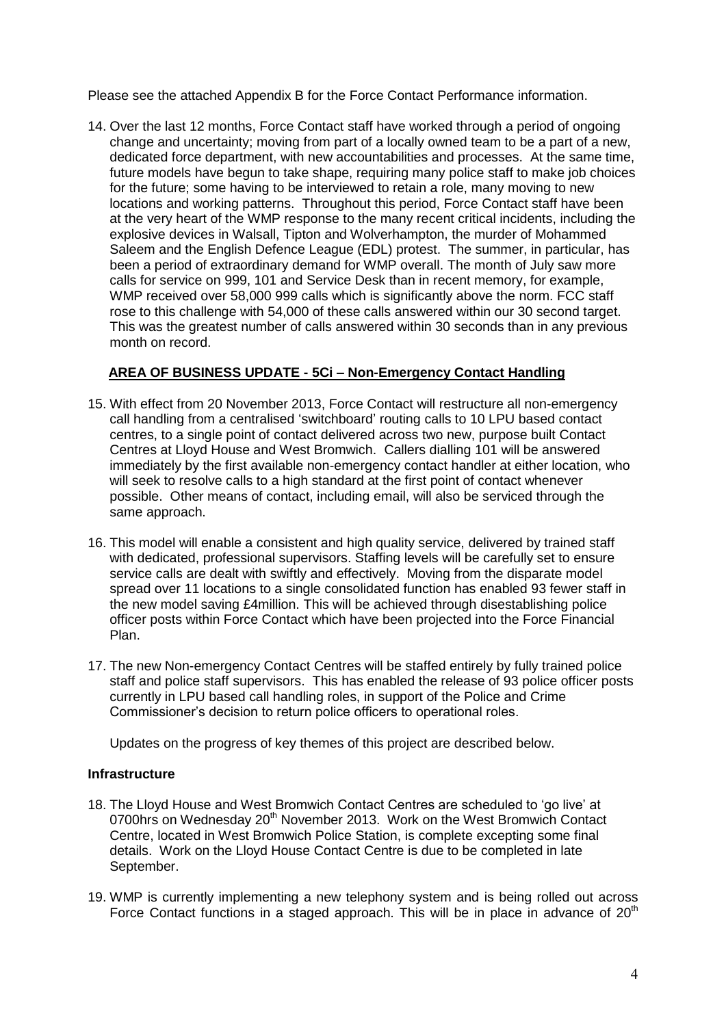Please see the attached Appendix B for the Force Contact Performance information.

14. Over the last 12 months, Force Contact staff have worked through a period of ongoing change and uncertainty; moving from part of a locally owned team to be a part of a new, dedicated force department, with new accountabilities and processes. At the same time, future models have begun to take shape, requiring many police staff to make job choices for the future; some having to be interviewed to retain a role, many moving to new locations and working patterns. Throughout this period, Force Contact staff have been at the very heart of the WMP response to the many recent critical incidents, including the explosive devices in Walsall, Tipton and Wolverhampton, the murder of Mohammed Saleem and the English Defence League (EDL) protest. The summer, in particular, has been a period of extraordinary demand for WMP overall. The month of July saw more calls for service on 999, 101 and Service Desk than in recent memory, for example, WMP received over 58,000 999 calls which is significantly above the norm. FCC staff rose to this challenge with 54,000 of these calls answered within our 30 second target. This was the greatest number of calls answered within 30 seconds than in any previous month on record.

# **AREA OF BUSINESS UPDATE - 5Ci – Non-Emergency Contact Handling**

- 15. With effect from 20 November 2013, Force Contact will restructure all non-emergency call handling from a centralised 'switchboard' routing calls to 10 LPU based contact centres, to a single point of contact delivered across two new, purpose built Contact Centres at Lloyd House and West Bromwich. Callers dialling 101 will be answered immediately by the first available non-emergency contact handler at either location, who will seek to resolve calls to a high standard at the first point of contact whenever possible. Other means of contact, including email, will also be serviced through the same approach.
- 16. This model will enable a consistent and high quality service, delivered by trained staff with dedicated, professional supervisors. Staffing levels will be carefully set to ensure service calls are dealt with swiftly and effectively. Moving from the disparate model spread over 11 locations to a single consolidated function has enabled 93 fewer staff in the new model saving £4million. This will be achieved through disestablishing police officer posts within Force Contact which have been projected into the Force Financial Plan.
- 17. The new Non-emergency Contact Centres will be staffed entirely by fully trained police staff and police staff supervisors. This has enabled the release of 93 police officer posts currently in LPU based call handling roles, in support of the Police and Crime Commissioner's decision to return police officers to operational roles.

Updates on the progress of key themes of this project are described below.

## **Infrastructure**

- 18. The Lloyd House and West Bromwich Contact Centres are scheduled to 'go live' at 0700hrs on Wednesday 20<sup>th</sup> November 2013. Work on the West Bromwich Contact Centre, located in West Bromwich Police Station, is complete excepting some final details. Work on the Lloyd House Contact Centre is due to be completed in late September.
- 19. WMP is currently implementing a new telephony system and is being rolled out across Force Contact functions in a staged approach. This will be in place in advance of  $20<sup>th</sup>$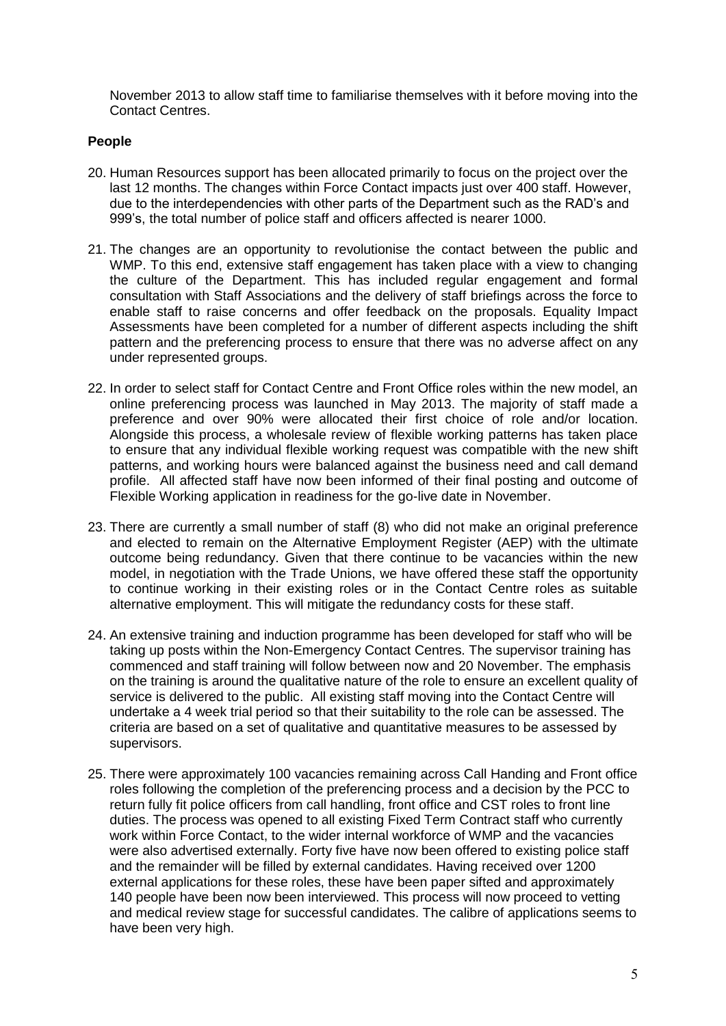November 2013 to allow staff time to familiarise themselves with it before moving into the Contact Centres.

# **People**

- 20. Human Resources support has been allocated primarily to focus on the project over the last 12 months. The changes within Force Contact impacts just over 400 staff. However, due to the interdependencies with other parts of the Department such as the RAD's and 999's, the total number of police staff and officers affected is nearer 1000.
- 21. The changes are an opportunity to revolutionise the contact between the public and WMP. To this end, extensive staff engagement has taken place with a view to changing the culture of the Department. This has included regular engagement and formal consultation with Staff Associations and the delivery of staff briefings across the force to enable staff to raise concerns and offer feedback on the proposals. Equality Impact Assessments have been completed for a number of different aspects including the shift pattern and the preferencing process to ensure that there was no adverse affect on any under represented groups.
- 22. In order to select staff for Contact Centre and Front Office roles within the new model, an online preferencing process was launched in May 2013. The majority of staff made a preference and over 90% were allocated their first choice of role and/or location. Alongside this process, a wholesale review of flexible working patterns has taken place to ensure that any individual flexible working request was compatible with the new shift patterns, and working hours were balanced against the business need and call demand profile. All affected staff have now been informed of their final posting and outcome of Flexible Working application in readiness for the go-live date in November.
- 23. There are currently a small number of staff (8) who did not make an original preference and elected to remain on the Alternative Employment Register (AEP) with the ultimate outcome being redundancy. Given that there continue to be vacancies within the new model, in negotiation with the Trade Unions, we have offered these staff the opportunity to continue working in their existing roles or in the Contact Centre roles as suitable alternative employment. This will mitigate the redundancy costs for these staff.
- 24. An extensive training and induction programme has been developed for staff who will be taking up posts within the Non-Emergency Contact Centres. The supervisor training has commenced and staff training will follow between now and 20 November. The emphasis on the training is around the qualitative nature of the role to ensure an excellent quality of service is delivered to the public. All existing staff moving into the Contact Centre will undertake a 4 week trial period so that their suitability to the role can be assessed. The criteria are based on a set of qualitative and quantitative measures to be assessed by supervisors.
- 25. There were approximately 100 vacancies remaining across Call Handing and Front office roles following the completion of the preferencing process and a decision by the PCC to return fully fit police officers from call handling, front office and CST roles to front line duties. The process was opened to all existing Fixed Term Contract staff who currently work within Force Contact, to the wider internal workforce of WMP and the vacancies were also advertised externally. Forty five have now been offered to existing police staff and the remainder will be filled by external candidates. Having received over 1200 external applications for these roles, these have been paper sifted and approximately 140 people have been now been interviewed. This process will now proceed to vetting and medical review stage for successful candidates. The calibre of applications seems to have been very high.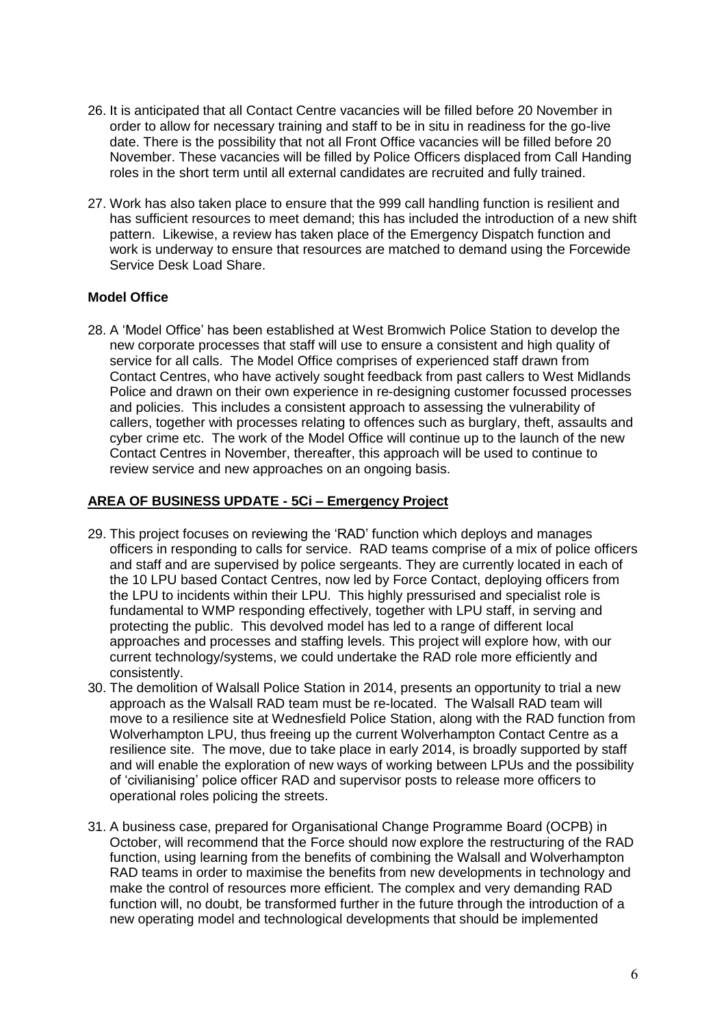- 26. It is anticipated that all Contact Centre vacancies will be filled before 20 November in order to allow for necessary training and staff to be in situ in readiness for the go-live date. There is the possibility that not all Front Office vacancies will be filled before 20 November. These vacancies will be filled by Police Officers displaced from Call Handing roles in the short term until all external candidates are recruited and fully trained.
- 27. Work has also taken place to ensure that the 999 call handling function is resilient and has sufficient resources to meet demand; this has included the introduction of a new shift pattern. Likewise, a review has taken place of the Emergency Dispatch function and work is underway to ensure that resources are matched to demand using the Forcewide Service Desk Load Share.

## **Model Office**

28. A 'Model Office' has been established at West Bromwich Police Station to develop the new corporate processes that staff will use to ensure a consistent and high quality of service for all calls. The Model Office comprises of experienced staff drawn from Contact Centres, who have actively sought feedback from past callers to West Midlands Police and drawn on their own experience in re-designing customer focussed processes and policies. This includes a consistent approach to assessing the vulnerability of callers, together with processes relating to offences such as burglary, theft, assaults and cyber crime etc. The work of the Model Office will continue up to the launch of the new Contact Centres in November, thereafter, this approach will be used to continue to review service and new approaches on an ongoing basis.

# **AREA OF BUSINESS UPDATE - 5Ci – Emergency Project**

- 29. This project focuses on reviewing the 'RAD' function which deploys and manages officers in responding to calls for service. RAD teams comprise of a mix of police officers and staff and are supervised by police sergeants. They are currently located in each of the 10 LPU based Contact Centres, now led by Force Contact, deploying officers from the LPU to incidents within their LPU. This highly pressurised and specialist role is fundamental to WMP responding effectively, together with LPU staff, in serving and protecting the public. This devolved model has led to a range of different local approaches and processes and staffing levels. This project will explore how, with our current technology/systems, we could undertake the RAD role more efficiently and consistently.
- 30. The demolition of Walsall Police Station in 2014, presents an opportunity to trial a new approach as the Walsall RAD team must be re-located. The Walsall RAD team will move to a resilience site at Wednesfield Police Station, along with the RAD function from Wolverhampton LPU, thus freeing up the current Wolverhampton Contact Centre as a resilience site. The move, due to take place in early 2014, is broadly supported by staff and will enable the exploration of new ways of working between LPUs and the possibility of 'civilianising' police officer RAD and supervisor posts to release more officers to operational roles policing the streets.
- 31. A business case, prepared for Organisational Change Programme Board (OCPB) in October, will recommend that the Force should now explore the restructuring of the RAD function, using learning from the benefits of combining the Walsall and Wolverhampton RAD teams in order to maximise the benefits from new developments in technology and make the control of resources more efficient. The complex and very demanding RAD function will, no doubt, be transformed further in the future through the introduction of a new operating model and technological developments that should be implemented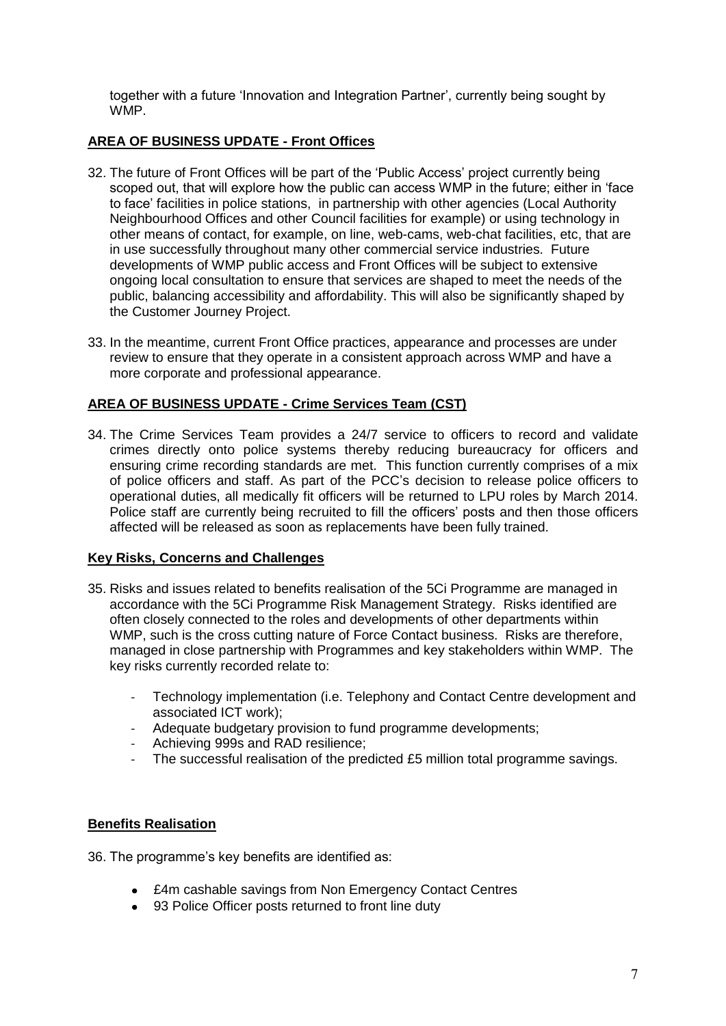together with a future 'Innovation and Integration Partner', currently being sought by WMP.

# **AREA OF BUSINESS UPDATE - Front Offices**

- 32. The future of Front Offices will be part of the 'Public Access' project currently being scoped out, that will explore how the public can access WMP in the future; either in 'face to face' facilities in police stations, in partnership with other agencies (Local Authority Neighbourhood Offices and other Council facilities for example) or using technology in other means of contact, for example, on line, web-cams, web-chat facilities, etc, that are in use successfully throughout many other commercial service industries. Future developments of WMP public access and Front Offices will be subject to extensive ongoing local consultation to ensure that services are shaped to meet the needs of the public, balancing accessibility and affordability. This will also be significantly shaped by the Customer Journey Project.
- 33. In the meantime, current Front Office practices, appearance and processes are under review to ensure that they operate in a consistent approach across WMP and have a more corporate and professional appearance.

# **AREA OF BUSINESS UPDATE - Crime Services Team (CST)**

34. The Crime Services Team provides a 24/7 service to officers to record and validate crimes directly onto police systems thereby reducing bureaucracy for officers and ensuring crime recording standards are met. This function currently comprises of a mix of police officers and staff. As part of the PCC's decision to release police officers to operational duties, all medically fit officers will be returned to LPU roles by March 2014. Police staff are currently being recruited to fill the officers' posts and then those officers affected will be released as soon as replacements have been fully trained.

## **Key Risks, Concerns and Challenges**

- 35. Risks and issues related to benefits realisation of the 5Ci Programme are managed in accordance with the 5Ci Programme Risk Management Strategy. Risks identified are often closely connected to the roles and developments of other departments within WMP, such is the cross cutting nature of Force Contact business. Risks are therefore, managed in close partnership with Programmes and key stakeholders within WMP. The key risks currently recorded relate to:
	- Technology implementation (i.e. Telephony and Contact Centre development and associated ICT work);
	- Adequate budgetary provision to fund programme developments;
	- Achieving 999s and RAD resilience;
	- The successful realisation of the predicted £5 million total programme savings.

## **Benefits Realisation**

36. The programme's key benefits are identified as:

- £4m cashable savings from Non Emergency Contact Centres
- 93 Police Officer posts returned to front line duty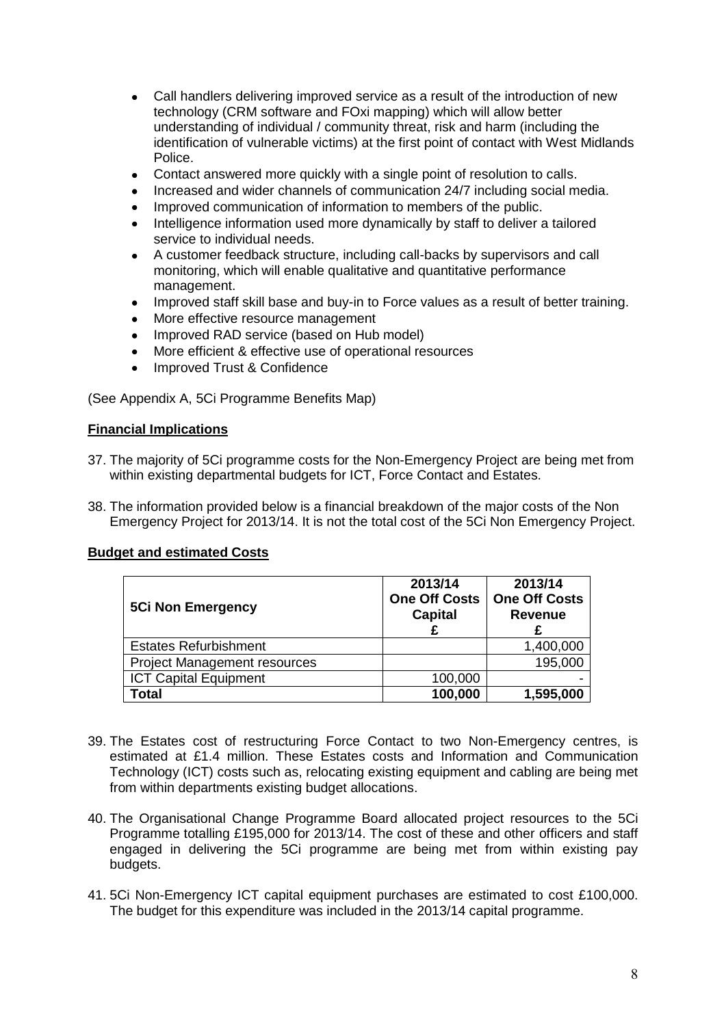- Call handlers delivering improved service as a result of the introduction of new technology (CRM software and FOxi mapping) which will allow better understanding of individual / community threat, risk and harm (including the identification of vulnerable victims) at the first point of contact with West Midlands Police.
- Contact answered more quickly with a single point of resolution to calls.  $\bullet$
- Increased and wider channels of communication 24/7 including social media.
- Improved communication of information to members of the public.
- Intelligence information used more dynamically by staff to deliver a tailored service to individual needs.
- A customer feedback structure, including call-backs by supervisors and call monitoring, which will enable qualitative and quantitative performance management.
- Improved staff skill base and buy-in to Force values as a result of better training.  $\bullet$
- More effective resource management
- Improved RAD service (based on Hub model)
- More efficient & effective use of operational resources
- Improved Trust & Confidence

(See Appendix A, 5Ci Programme Benefits Map)

## **Financial Implications**

- 37. The majority of 5Ci programme costs for the Non-Emergency Project are being met from within existing departmental budgets for ICT, Force Contact and Estates.
- 38. The information provided below is a financial breakdown of the major costs of the Non Emergency Project for 2013/14. It is not the total cost of the 5Ci Non Emergency Project.

## **Budget and estimated Costs**

| <b>5Ci Non Emergency</b>            | 2013/14<br><b>One Off Costs</b><br><b>Capital</b> | 2013/14<br><b>One Off Costs</b><br><b>Revenue</b> |
|-------------------------------------|---------------------------------------------------|---------------------------------------------------|
| <b>Estates Refurbishment</b>        |                                                   | 1,400,000                                         |
| <b>Project Management resources</b> |                                                   | 195,000                                           |
| <b>ICT Capital Equipment</b>        | 100,000                                           |                                                   |
| Total                               | 100,000                                           | 1,595,000                                         |

- 39. The Estates cost of restructuring Force Contact to two Non-Emergency centres, is estimated at £1.4 million. These Estates costs and Information and Communication Technology (ICT) costs such as, relocating existing equipment and cabling are being met from within departments existing budget allocations.
- 40. The Organisational Change Programme Board allocated project resources to the 5Ci Programme totalling £195,000 for 2013/14. The cost of these and other officers and staff engaged in delivering the 5Ci programme are being met from within existing pay budgets.
- 41. 5Ci Non-Emergency ICT capital equipment purchases are estimated to cost £100,000. The budget for this expenditure was included in the 2013/14 capital programme.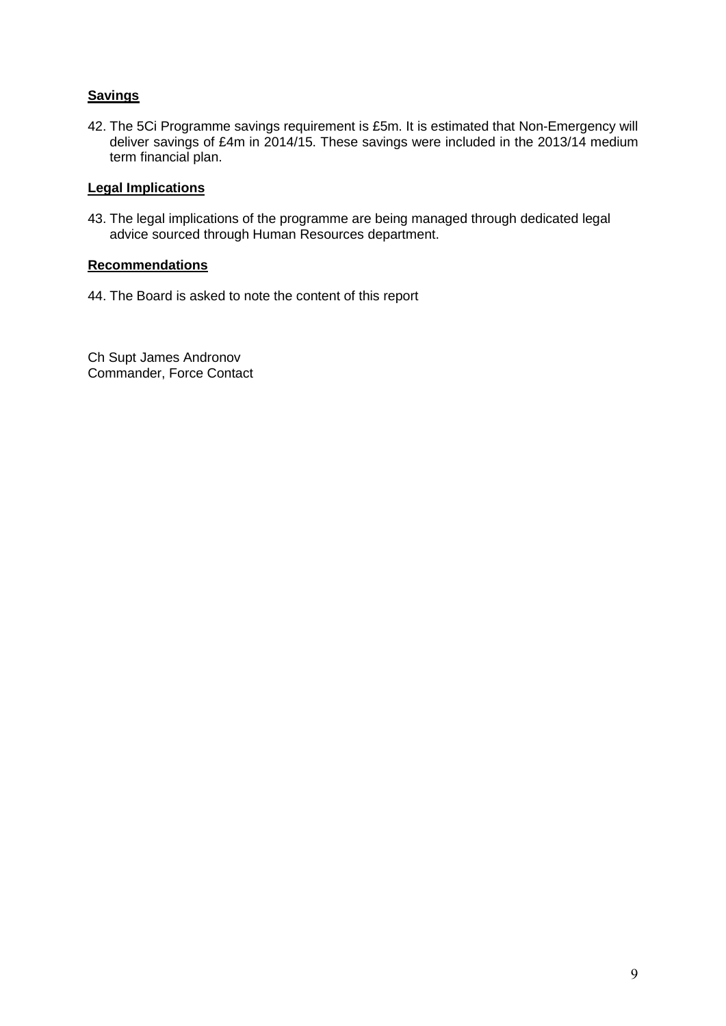# **Savings**

42. The 5Ci Programme savings requirement is £5m. It is estimated that Non-Emergency will deliver savings of £4m in 2014/15. These savings were included in the 2013/14 medium term financial plan.

# **Legal Implications**

43. The legal implications of the programme are being managed through dedicated legal advice sourced through Human Resources department.

# **Recommendations**

44. The Board is asked to note the content of this report

Ch Supt James Andronov Commander, Force Contact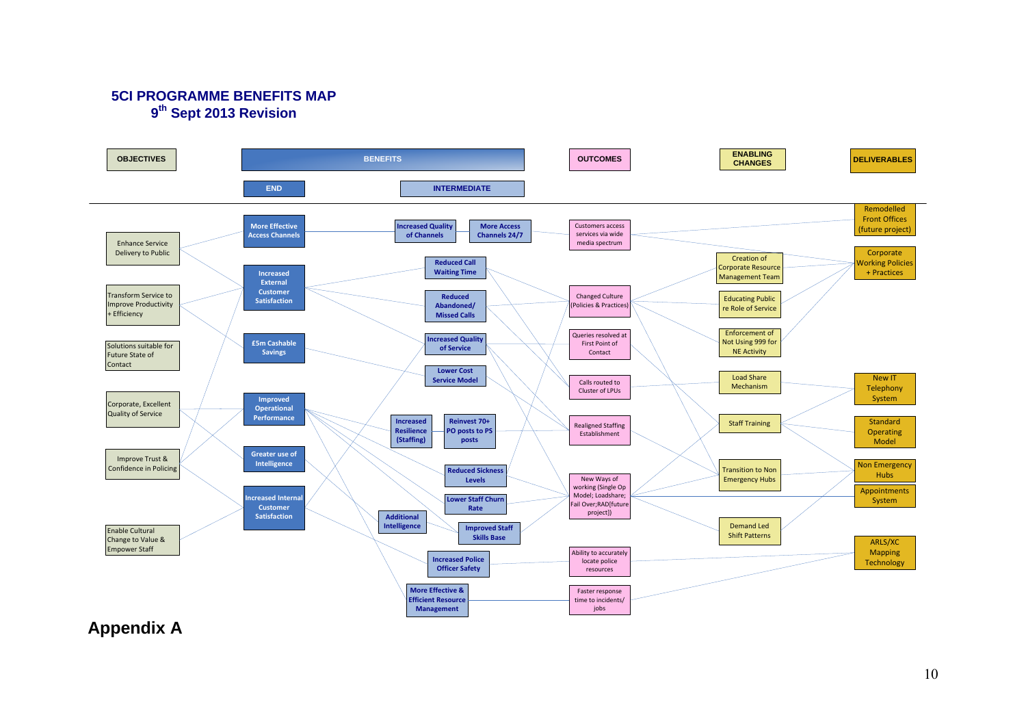# 5CI PROGRAMME BENEFITS MAP **9<sup><sup>th</sup> Sept 2013 Revision**</sup>



**Appendix A**